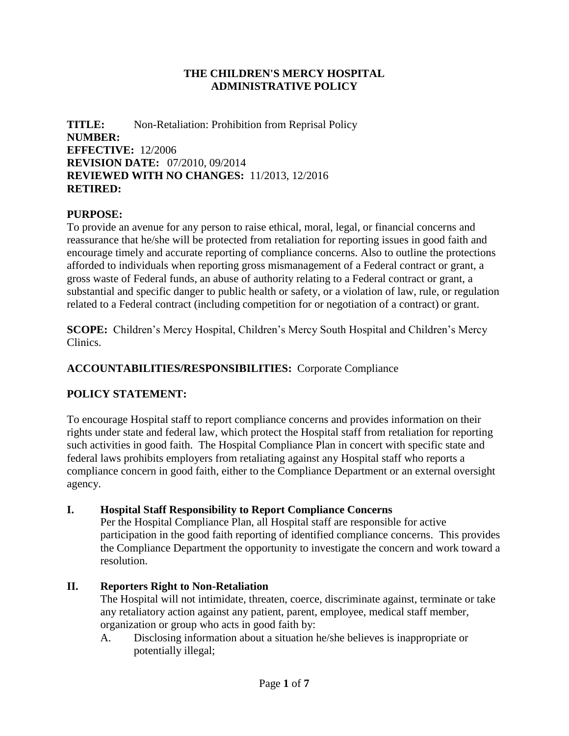#### **THE CHILDREN'S MERCY HOSPITAL ADMINISTRATIVE POLICY**

**TITLE:** Non-Retaliation: Prohibition from Reprisal Policy **NUMBER: EFFECTIVE:** 12/2006 **REVISION DATE:** 07/2010, 09/2014 **REVIEWED WITH NO CHANGES:** 11/2013, 12/2016 **RETIRED:**

### **PURPOSE:**

To provide an avenue for any person to raise ethical, moral, legal, or financial concerns and reassurance that he/she will be protected from retaliation for reporting issues in good faith and encourage timely and accurate reporting of compliance concerns. Also to outline the protections afforded to individuals when reporting gross mismanagement of a Federal contract or grant, a gross waste of Federal funds, an abuse of authority relating to a Federal contract or grant, a substantial and specific danger to public health or safety, or a violation of law, rule, or regulation related to a Federal contract (including competition for or negotiation of a contract) or grant.

**SCOPE:** Children's Mercy Hospital, Children's Mercy South Hospital and Children's Mercy Clinics.

#### **ACCOUNTABILITIES/RESPONSIBILITIES:** Corporate Compliance

#### **POLICY STATEMENT:**

To encourage Hospital staff to report compliance concerns and provides information on their rights under state and federal law, which protect the Hospital staff from retaliation for reporting such activities in good faith. The Hospital Compliance Plan in concert with specific state and federal laws prohibits employers from retaliating against any Hospital staff who reports a compliance concern in good faith, either to the Compliance Department or an external oversight agency.

#### **I. Hospital Staff Responsibility to Report Compliance Concerns**

Per the Hospital Compliance Plan, all Hospital staff are responsible for active participation in the good faith reporting of identified compliance concerns. This provides the Compliance Department the opportunity to investigate the concern and work toward a resolution.

#### **II. Reporters Right to Non-Retaliation**

The Hospital will not intimidate, threaten, coerce, discriminate against, terminate or take any retaliatory action against any patient, parent, employee, medical staff member, organization or group who acts in good faith by:

A. Disclosing information about a situation he/she believes is inappropriate or potentially illegal;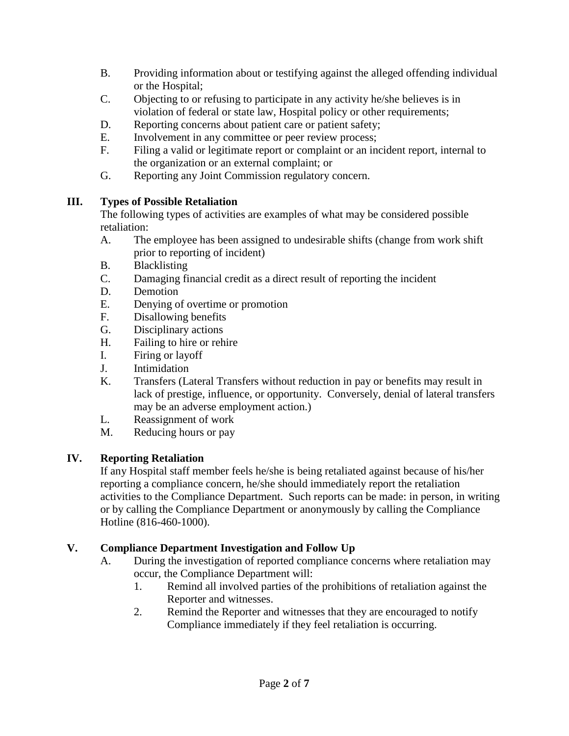- B. Providing information about or testifying against the alleged offending individual or the Hospital;
- C. Objecting to or refusing to participate in any activity he/she believes is in violation of federal or state law, Hospital policy or other requirements;
- D. Reporting concerns about patient care or patient safety;
- E. Involvement in any committee or peer review process;
- F. Filing a valid or legitimate report or complaint or an incident report, internal to the organization or an external complaint; or
- G. Reporting any Joint Commission regulatory concern.

### **III. Types of Possible Retaliation**

The following types of activities are examples of what may be considered possible retaliation:

- A. The employee has been assigned to undesirable shifts (change from work shift prior to reporting of incident)
- B. Blacklisting
- C. Damaging financial credit as a direct result of reporting the incident
- D. Demotion
- E. Denying of overtime or promotion
- F. Disallowing benefits
- G. Disciplinary actions
- H. Failing to hire or rehire
- I. Firing or layoff
- J. Intimidation
- K. Transfers (Lateral Transfers without reduction in pay or benefits may result in lack of prestige, influence, or opportunity. Conversely, denial of lateral transfers may be an adverse employment action.)
- L. Reassignment of work
- M. Reducing hours or pay

# **IV. Reporting Retaliation**

If any Hospital staff member feels he/she is being retaliated against because of his/her reporting a compliance concern, he/she should immediately report the retaliation activities to the Compliance Department. Such reports can be made: in person, in writing or by calling the Compliance Department or anonymously by calling the Compliance Hotline (816-460-1000).

### **V. Compliance Department Investigation and Follow Up**

- A. During the investigation of reported compliance concerns where retaliation may occur, the Compliance Department will:
	- 1. Remind all involved parties of the prohibitions of retaliation against the Reporter and witnesses.
	- 2. Remind the Reporter and witnesses that they are encouraged to notify Compliance immediately if they feel retaliation is occurring.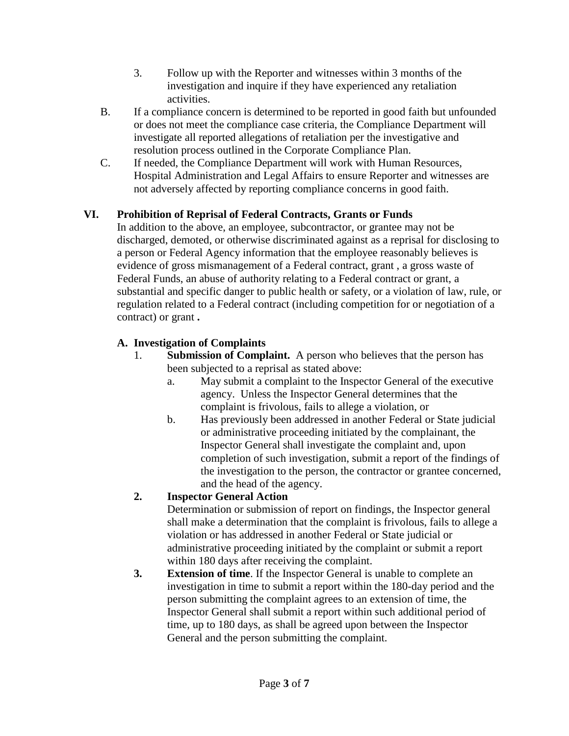- 3. Follow up with the Reporter and witnesses within 3 months of the investigation and inquire if they have experienced any retaliation activities.
- B. If a compliance concern is determined to be reported in good faith but unfounded or does not meet the compliance case criteria, the Compliance Department will investigate all reported allegations of retaliation per the investigative and resolution process outlined in the Corporate Compliance Plan.
- C. If needed, the Compliance Department will work with Human Resources, Hospital Administration and Legal Affairs to ensure Reporter and witnesses are not adversely affected by reporting compliance concerns in good faith.

# **VI. Prohibition of Reprisal of Federal Contracts, Grants or Funds**

In addition to the above, an employee, subcontractor, or grantee may not be discharged, demoted, or otherwise discriminated against as a reprisal for disclosing to a person or Federal Agency information that the employee reasonably believes is evidence of gross mismanagement of a Federal contract, grant , a gross waste of Federal Funds, an abuse of authority relating to a Federal contract or grant, a substantial and specific danger to public health or safety, or a violation of law, rule, or regulation related to a Federal contract (including competition for or negotiation of a contract) or grant **.**

# **A. Investigation of Complaints**

- 1. **Submission of Complaint.** A person who believes that the person has been subjected to a reprisal as stated above:
	- a. May submit a complaint to the Inspector General of the executive agency. Unless the Inspector General determines that the complaint is frivolous, fails to allege a violation, or
	- b. Has previously been addressed in another Federal or State judicial or administrative proceeding initiated by the complainant, the Inspector General shall investigate the complaint and, upon completion of such investigation, submit a report of the findings of the investigation to the person, the contractor or grantee concerned, and the head of the agency.

# **2. Inspector General Action**

Determination or submission of report on findings, the Inspector general shall make a determination that the complaint is frivolous, fails to allege a violation or has addressed in another Federal or State judicial or administrative proceeding initiated by the complaint or submit a report within 180 days after receiving the complaint.

**3. Extension of time**. If the Inspector General is unable to complete an investigation in time to submit a report within the 180-day period and the person submitting the complaint agrees to an extension of time, the Inspector General shall submit a report within such additional period of time, up to 180 days, as shall be agreed upon between the Inspector General and the person submitting the complaint.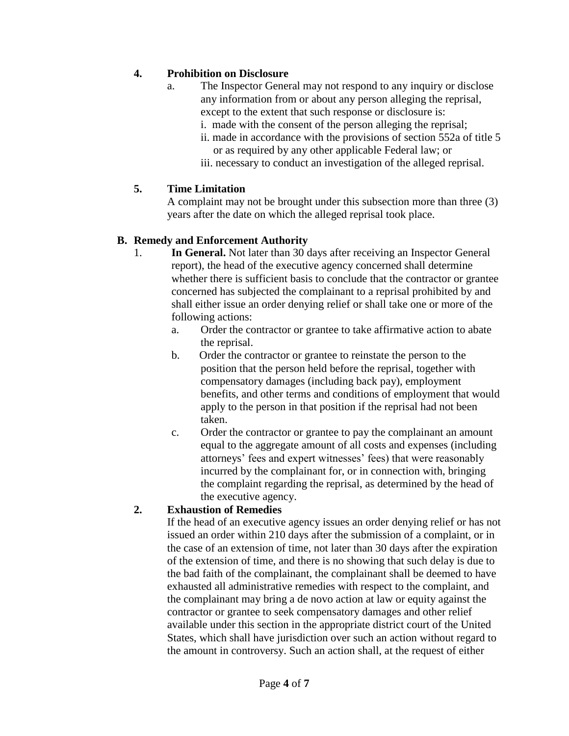### **4. Prohibition on Disclosure**

- a. The Inspector General may not respond to any inquiry or disclose any information from or about any person alleging the reprisal, except to the extent that such response or disclosure is:
	- i. made with the consent of the person alleging the reprisal;
	- ii. made in accordance with the provisions of section 552a of title 5 or as required by any other applicable Federal law; or
	- iii. necessary to conduct an investigation of the alleged reprisal.

#### **5. Time Limitation**

A complaint may not be brought under this subsection more than three (3) years after the date on which the alleged reprisal took place.

#### **B. Remedy and Enforcement Authority**

- 1. **In General.** Not later than 30 days after receiving an Inspector General report), the head of the executive agency concerned shall determine whether there is sufficient basis to conclude that the contractor or grantee concerned has subjected the complainant to a reprisal prohibited by and shall either issue an order denying relief or shall take one or more of the following actions:
	- a. Order the contractor or grantee to take affirmative action to abate the reprisal.
	- b. Order the contractor or grantee to reinstate the person to the position that the person held before the reprisal, together with compensatory damages (including back pay), employment benefits, and other terms and conditions of employment that would apply to the person in that position if the reprisal had not been taken.
	- c. Order the contractor or grantee to pay the complainant an amount equal to the aggregate amount of all costs and expenses (including attorneys' fees and expert witnesses' fees) that were reasonably incurred by the complainant for, or in connection with, bringing the complaint regarding the reprisal, as determined by the head of the executive agency.

### **2. Exhaustion of Remedies**

If the head of an executive agency issues an order denying relief or has not issued an order within 210 days after the submission of a complaint, or in the case of an extension of time, not later than 30 days after the expiration of the extension of time, and there is no showing that such delay is due to the bad faith of the complainant, the complainant shall be deemed to have exhausted all administrative remedies with respect to the complaint, and the complainant may bring a de novo action at law or equity against the contractor or grantee to seek compensatory damages and other relief available under this section in the appropriate district court of the United States, which shall have jurisdiction over such an action without regard to the amount in controversy. Such an action shall, at the request of either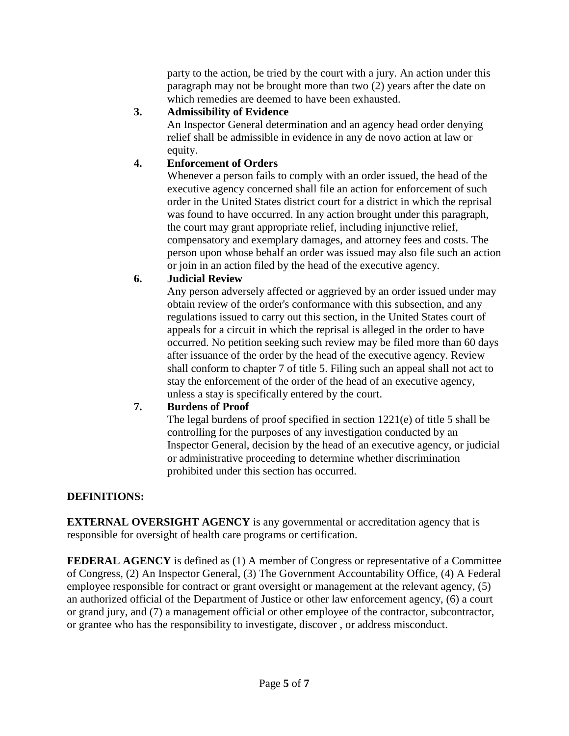party to the action, be tried by the court with a jury. An action under this paragraph may not be brought more than two (2) years after the date on which remedies are deemed to have been exhausted.

### **3. Admissibility of Evidence**

An Inspector General determination and an agency head order denying relief shall be admissible in evidence in any de novo action at law or equity.

### **4. Enforcement of Orders**

Whenever a person fails to comply with an order issued, the head of the executive agency concerned shall file an action for enforcement of such order in the United States district court for a district in which the reprisal was found to have occurred. In any action brought under this paragraph, the court may grant appropriate relief, including injunctive relief, compensatory and exemplary damages, and attorney fees and costs. The person upon whose behalf an order was issued may also file such an action or join in an action filed by the head of the executive agency.

### **6. Judicial Review**

Any person adversely affected or aggrieved by an order issued under may obtain review of the order's conformance with this subsection, and any regulations issued to carry out this section, in the United States court of appeals for a circuit in which the reprisal is alleged in the order to have occurred. No petition seeking such review may be filed more than 60 days after issuance of the order by the head of the executive agency. Review shall conform to chapter 7 of title 5. Filing such an appeal shall not act to stay the enforcement of the order of the head of an executive agency, unless a stay is specifically entered by the court.

# **7. Burdens of Proof**

The legal burdens of proof specified in section 1221(e) of title 5 shall be controlling for the purposes of any investigation conducted by an Inspector General, decision by the head of an executive agency, or judicial or administrative proceeding to determine whether discrimination prohibited under this section has occurred.

# **DEFINITIONS:**

**EXTERNAL OVERSIGHT AGENCY** is any governmental or accreditation agency that is responsible for oversight of health care programs or certification.

**FEDERAL AGENCY** is defined as (1) A member of Congress or representative of a Committee of Congress, (2) An Inspector General, (3) The Government Accountability Office, (4) A Federal employee responsible for contract or grant oversight or management at the relevant agency, (5) an authorized official of the Department of Justice or other law enforcement agency, (6) a court or grand jury, and (7) a management official or other employee of the contractor, subcontractor, or grantee who has the responsibility to investigate, discover , or address misconduct.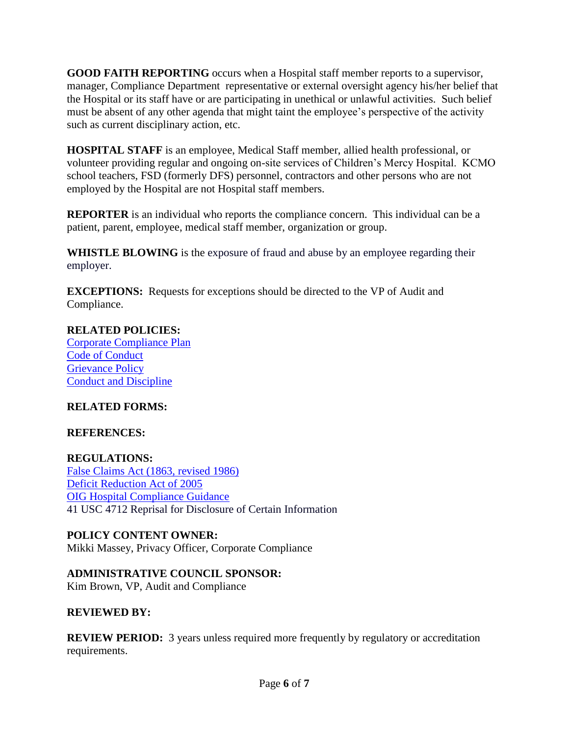**GOOD FAITH REPORTING** occurs when a Hospital staff member reports to a supervisor, manager, Compliance Department representative or external oversight agency his/her belief that the Hospital or its staff have or are participating in unethical or unlawful activities. Such belief must be absent of any other agenda that might taint the employee's perspective of the activity such as current disciplinary action, etc.

**HOSPITAL STAFF** is an employee, Medical Staff member, allied health professional, or volunteer providing regular and ongoing on-site services of Children's Mercy Hospital. KCMO school teachers, FSD (formerly DFS) personnel, contractors and other persons who are not employed by the Hospital are not Hospital staff members.

**REPORTER** is an individual who reports the compliance concern. This individual can be a patient, parent, employee, medical staff member, organization or group.

**WHISTLE BLOWING** is the exposure of fraud and abuse by an employee regarding their employer.

**EXCEPTIONS:** Requests for exceptions should be directed to the VP of Audit and Compliance.

# **RELATED POLICIES:**

[Corporate Compliance Plan](http://scope/uploadedfiles/corporate%20compliance%20plan.doc) [Code of Conduct](http://scope/quickpolicies/documents/Code%20of%20Conduct.pdf) [Grievance Policy](http://scope/quickpolicies/documents/Grievance%20Policy%2009.11.pdf) [Conduct and Discipline](http://scope/hr/link/view.asp?id=90)

# **RELATED FORMS:**

# **REFERENCES:**

**REGULATIONS:** [False Claims Act \(1863, revised 1986\)](http://www.gpo.gov/fdsys/pkg/CRPT-110srpt507/pdf/CRPT-110srpt507.pdf‎) [Deficit Reduction Act of 2005](http://www.gpo.gov/fdsys/pkg/PLAW-109publ171/.../PLAW-109publ171.pdf‎) [OIG Hospital Compliance Guidance](http://oig.hhs.gov/fraud/docs/complianceguidance/012705HospSupplementalGuidance.pdf) 41 USC 4712 Reprisal for Disclosure of Certain Information

### **POLICY CONTENT OWNER:**

Mikki Massey, Privacy Officer, Corporate Compliance

**ADMINISTRATIVE COUNCIL SPONSOR:** 

Kim Brown, VP, Audit and Compliance

### **REVIEWED BY:**

**REVIEW PERIOD:** 3 years unless required more frequently by regulatory or accreditation requirements.